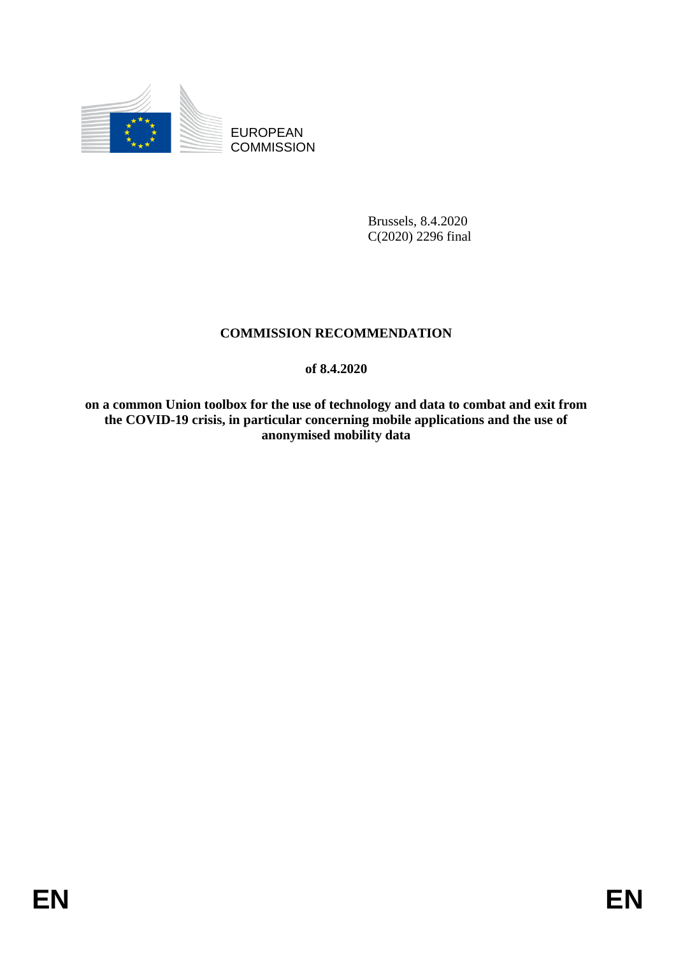

EUROPEAN **COMMISSION** 

> Brussels, 8.4.2020 C(2020) 2296 final

# **COMMISSION RECOMMENDATION**

## **of 8.4.2020**

**on a common Union toolbox for the use of technology and data to combat and exit from the COVID-19 crisis, in particular concerning mobile applications and the use of anonymised mobility data**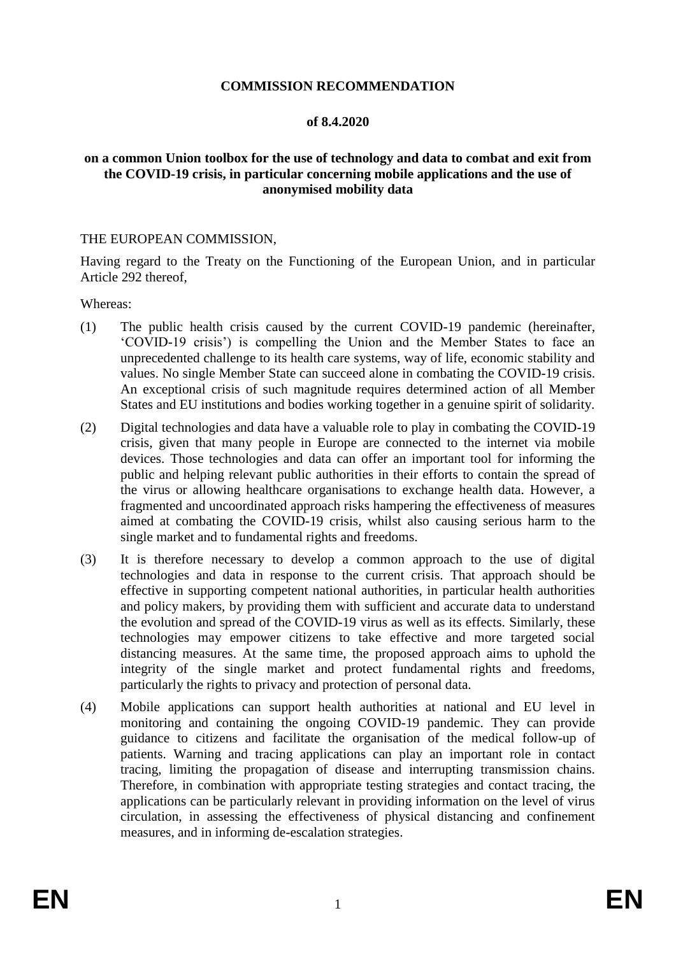#### **COMMISSION RECOMMENDATION**

#### **of 8.4.2020**

#### **on a common Union toolbox for the use of technology and data to combat and exit from the COVID-19 crisis, in particular concerning mobile applications and the use of anonymised mobility data**

#### THE EUROPEAN COMMISSION,

Having regard to the Treaty on the Functioning of the European Union, and in particular Article 292 thereof,

Whereas:

- (1) The public health crisis caused by the current COVID-19 pandemic (hereinafter, 'COVID-19 crisis') is compelling the Union and the Member States to face an unprecedented challenge to its health care systems, way of life, economic stability and values. No single Member State can succeed alone in combating the COVID-19 crisis. An exceptional crisis of such magnitude requires determined action of all Member States and EU institutions and bodies working together in a genuine spirit of solidarity.
- (2) Digital technologies and data have a valuable role to play in combating the COVID-19 crisis, given that many people in Europe are connected to the internet via mobile devices. Those technologies and data can offer an important tool for informing the public and helping relevant public authorities in their efforts to contain the spread of the virus or allowing healthcare organisations to exchange health data. However, a fragmented and uncoordinated approach risks hampering the effectiveness of measures aimed at combating the COVID-19 crisis, whilst also causing serious harm to the single market and to fundamental rights and freedoms.
- (3) It is therefore necessary to develop a common approach to the use of digital technologies and data in response to the current crisis. That approach should be effective in supporting competent national authorities, in particular health authorities and policy makers, by providing them with sufficient and accurate data to understand the evolution and spread of the COVID-19 virus as well as its effects. Similarly, these technologies may empower citizens to take effective and more targeted social distancing measures. At the same time, the proposed approach aims to uphold the integrity of the single market and protect fundamental rights and freedoms, particularly the rights to privacy and protection of personal data.
- (4) Mobile applications can support health authorities at national and EU level in monitoring and containing the ongoing COVID-19 pandemic. They can provide guidance to citizens and facilitate the organisation of the medical follow-up of patients. Warning and tracing applications can play an important role in contact tracing, limiting the propagation of disease and interrupting transmission chains. Therefore, in combination with appropriate testing strategies and contact tracing, the applications can be particularly relevant in providing information on the level of virus circulation, in assessing the effectiveness of physical distancing and confinement measures, and in informing de-escalation strategies.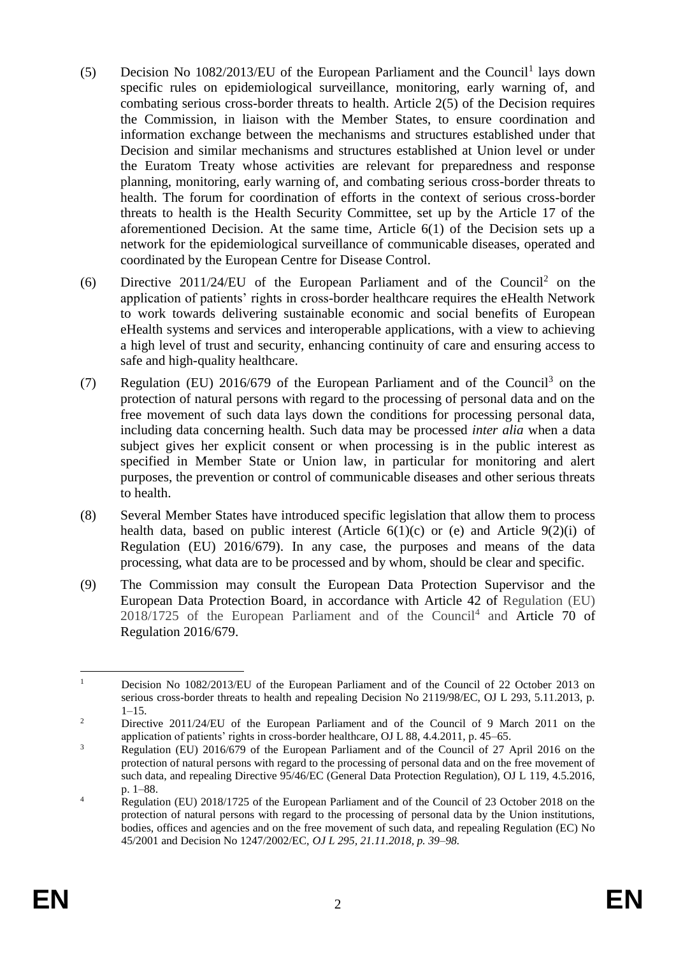- (5) Decision No  $1082/2013/EU$  of the European Parliament and the Council<sup>1</sup> lays down specific rules on epidemiological surveillance, monitoring, early warning of, and combating serious cross-border threats to health. Article 2(5) of the Decision requires the Commission, in liaison with the Member States, to ensure coordination and information exchange between the mechanisms and structures established under that Decision and similar mechanisms and structures established at Union level or under the Euratom Treaty whose activities are relevant for preparedness and response planning, monitoring, early warning of, and combating serious cross-border threats to health. The forum for coordination of efforts in the context of serious cross-border threats to health is the Health Security Committee, set up by the Article 17 of the aforementioned Decision. At the same time, Article 6(1) of the Decision sets up a network for the epidemiological surveillance of communicable diseases, operated and coordinated by the European Centre for Disease Control.
- (6) Directive 2011/24/EU of the European Parliament and of the Council<sup>2</sup> on the application of patients' rights in cross-border healthcare requires the eHealth Network to work towards delivering sustainable economic and social benefits of European eHealth systems and services and interoperable applications, with a view to achieving a high level of trust and security, enhancing continuity of care and ensuring access to safe and high-quality healthcare.
- (7) Regulation (EU) 2016/679 of the European Parliament and of the Council<sup>3</sup> on the protection of natural persons with regard to the processing of personal data and on the free movement of such data lays down the conditions for processing personal data, including data concerning health. Such data may be processed *inter alia* when a data subject gives her explicit consent or when processing is in the public interest as specified in Member State or Union law, in particular for monitoring and alert purposes, the prevention or control of communicable diseases and other serious threats to health.
- (8) Several Member States have introduced specific legislation that allow them to process health data, based on public interest (Article  $6(1)(c)$  or (e) and Article  $9(2)(i)$  of Regulation (EU) 2016/679). In any case, the purposes and means of the data processing, what data are to be processed and by whom, should be clear and specific.
- (9) The Commission may consult the European Data Protection Supervisor and the European Data Protection Board, in accordance with Article 42 of Regulation (EU)  $2018/1725$  of the European Parliament and of the Council<sup>4</sup> and Article 70 of Regulation 2016/679.

<sup>&</sup>lt;u>.</u> <sup>1</sup> Decision No 1082/2013/EU of the European Parliament and of the Council of 22 October 2013 on serious cross-border threats to health and repealing Decision No 2119/98/EC, OJ L 293, 5.11.2013, p.  $1-15.$ 

<sup>&</sup>lt;sup>2</sup> Directive 2011/24/EU of the European Parliament and of the Council of 9 March 2011 on the application of patients' rights in cross-border healthcare, OJ L 88, 4.4.2011, p. 45–65.

<sup>&</sup>lt;sup>3</sup> Regulation (EU) 2016/679 of the European Parliament and of the Council of 27 April 2016 on the protection of natural persons with regard to the processing of personal data and on the free movement of such data, and repealing Directive 95/46/EC (General Data Protection Regulation), OJ L 119, 4.5.2016, p. 1–88.

<sup>&</sup>lt;sup>4</sup> Regulation (EU) 2018/1725 of the European Parliament and of the Council of 23 October 2018 on the protection of natural persons with regard to the processing of personal data by the Union institutions, bodies, offices and agencies and on the free movement of such data, and repealing Regulation (EC) No 45/2001 and Decision No 1247/2002/EC, *OJ L 295, 21.11.2018, p. 39–98.*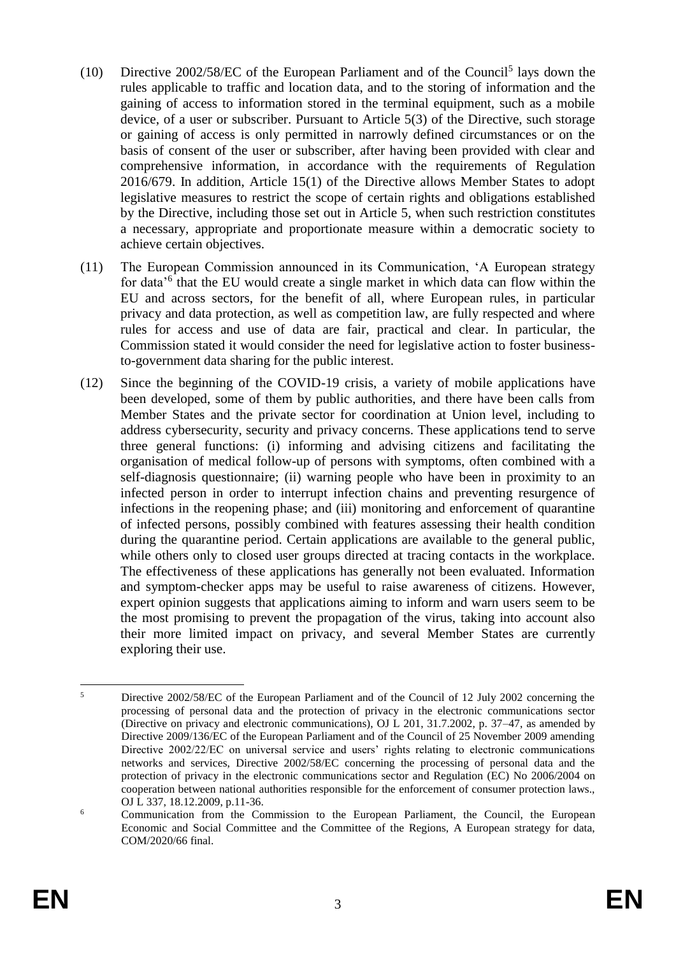- (10) Directive  $2002/58/EC$  of the European Parliament and of the Council<sup>5</sup> lays down the rules applicable to traffic and location data, and to the storing of information and the gaining of access to information stored in the terminal equipment, such as a mobile device, of a user or subscriber. Pursuant to Article 5(3) of the Directive, such storage or gaining of access is only permitted in narrowly defined circumstances or on the basis of consent of the user or subscriber, after having been provided with clear and comprehensive information, in accordance with the requirements of Regulation 2016/679. In addition, Article 15(1) of the Directive allows Member States to adopt legislative measures to restrict the scope of certain rights and obligations established by the Directive, including those set out in Article 5, when such restriction constitutes a necessary, appropriate and proportionate measure within a democratic society to achieve certain objectives.
- (11) The European Commission announced in its Communication, 'A European strategy for data<sup>'6</sup> that the EU would create a single market in which data can flow within the EU and across sectors, for the benefit of all, where European rules, in particular privacy and data protection, as well as competition law, are fully respected and where rules for access and use of data are fair, practical and clear. In particular, the Commission stated it would consider the need for legislative action to foster businessto-government data sharing for the public interest.
- (12) Since the beginning of the COVID-19 crisis, a variety of mobile applications have been developed, some of them by public authorities, and there have been calls from Member States and the private sector for coordination at Union level, including to address cybersecurity, security and privacy concerns. These applications tend to serve three general functions: (i) informing and advising citizens and facilitating the organisation of medical follow-up of persons with symptoms, often combined with a self-diagnosis questionnaire; (ii) warning people who have been in proximity to an infected person in order to interrupt infection chains and preventing resurgence of infections in the reopening phase; and (iii) monitoring and enforcement of quarantine of infected persons, possibly combined with features assessing their health condition during the quarantine period. Certain applications are available to the general public, while others only to closed user groups directed at tracing contacts in the workplace. The effectiveness of these applications has generally not been evaluated. Information and symptom-checker apps may be useful to raise awareness of citizens. However, expert opinion suggests that applications aiming to inform and warn users seem to be the most promising to prevent the propagation of the virus, taking into account also their more limited impact on privacy, and several Member States are currently exploring their use.

 $\overline{\mathbf{S}}$ <sup>5</sup> Directive 2002/58/EC of the European Parliament and of the Council of 12 July 2002 concerning the processing of personal data and the protection of privacy in the electronic communications sector (Directive on privacy and electronic communications), OJ L 201, 31.7.2002, p. 37–47, as amended by Directive 2009/136/EC of the European Parliament and of the Council of 25 November 2009 amending Directive 2002/22/EC on universal service and users' rights relating to electronic communications networks and services, Directive 2002/58/EC concerning the processing of personal data and the protection of privacy in the electronic communications sector and Regulation (EC) No 2006/2004 on cooperation between national authorities responsible for the enforcement of consumer protection laws., OJ L 337, 18.12.2009, p.11-36.

<sup>6</sup> Communication from the Commission to the European Parliament, the Council, the European Economic and Social Committee and the Committee of the Regions, A European strategy for data, COM/2020/66 final.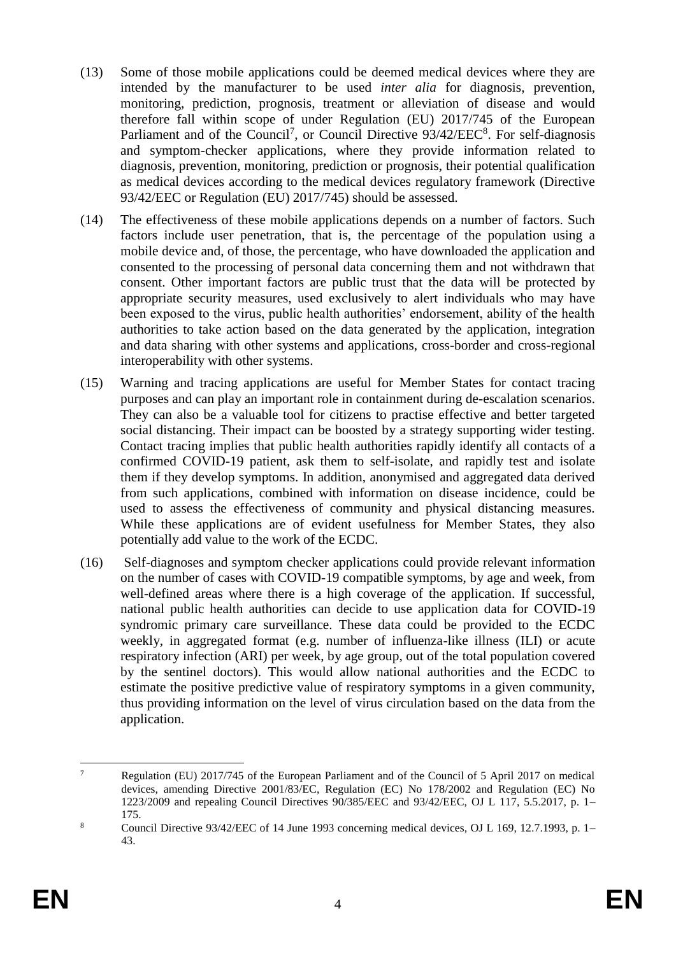- (13) Some of those mobile applications could be deemed medical devices where they are intended by the manufacturer to be used *inter alia* for diagnosis, prevention, monitoring, prediction, prognosis, treatment or alleviation of disease and would therefore fall within scope of under Regulation (EU) 2017/745 of the European Parliament and of the Council<sup>7</sup>, or Council Directive  $93/42/EEC<sup>8</sup>$ . For self-diagnosis and symptom-checker applications, where they provide information related to diagnosis, prevention, monitoring, prediction or prognosis, their potential qualification as medical devices according to the medical devices regulatory framework (Directive 93/42/EEC or Regulation (EU) 2017/745) should be assessed.
- (14) The effectiveness of these mobile applications depends on a number of factors. Such factors include user penetration, that is, the percentage of the population using a mobile device and, of those, the percentage, who have downloaded the application and consented to the processing of personal data concerning them and not withdrawn that consent. Other important factors are public trust that the data will be protected by appropriate security measures, used exclusively to alert individuals who may have been exposed to the virus, public health authorities' endorsement, ability of the health authorities to take action based on the data generated by the application, integration and data sharing with other systems and applications, cross-border and cross-regional interoperability with other systems.
- (15) Warning and tracing applications are useful for Member States for contact tracing purposes and can play an important role in containment during de-escalation scenarios. They can also be a valuable tool for citizens to practise effective and better targeted social distancing. Their impact can be boosted by a strategy supporting wider testing. Contact tracing implies that public health authorities rapidly identify all contacts of a confirmed COVID-19 patient, ask them to self-isolate, and rapidly test and isolate them if they develop symptoms. In addition, anonymised and aggregated data derived from such applications, combined with information on disease incidence, could be used to assess the effectiveness of community and physical distancing measures. While these applications are of evident usefulness for Member States, they also potentially add value to the work of the ECDC.
- (16) Self-diagnoses and symptom checker applications could provide relevant information on the number of cases with COVID-19 compatible symptoms, by age and week, from well-defined areas where there is a high coverage of the application. If successful, national public health authorities can decide to use application data for COVID-19 syndromic primary care surveillance. These data could be provided to the ECDC weekly, in aggregated format (e.g. number of influenza-like illness (ILI) or acute respiratory infection (ARI) per week, by age group, out of the total population covered by the sentinel doctors). This would allow national authorities and the ECDC to estimate the positive predictive value of respiratory symptoms in a given community, thus providing information on the level of virus circulation based on the data from the application.

<sup>1</sup> <sup>7</sup> Regulation (EU) 2017/745 of the European Parliament and of the Council of 5 April 2017 on medical devices, amending Directive 2001/83/EC, Regulation (EC) No 178/2002 and Regulation (EC) No 1223/2009 and repealing Council Directives 90/385/EEC and 93/42/EEC, OJ L 117, 5.5.2017, p. 1– 175.

<sup>8</sup> Council Directive 93/42/EEC of 14 June 1993 concerning medical devices, OJ L 169, 12.7.1993, p. 1– 43.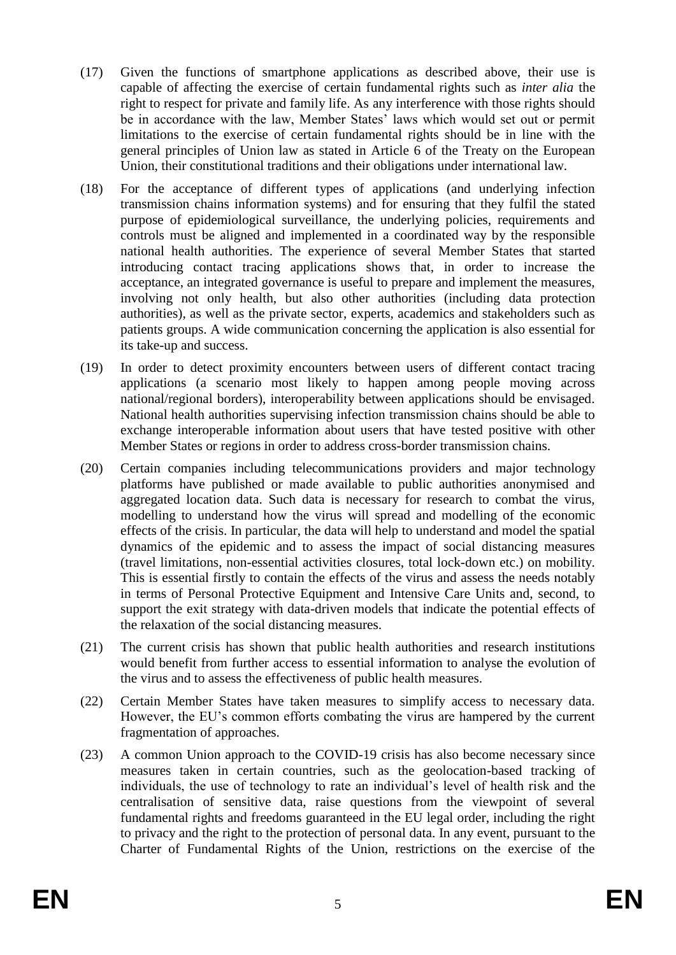- (17) Given the functions of smartphone applications as described above, their use is capable of affecting the exercise of certain fundamental rights such as *inter alia* the right to respect for private and family life. As any interference with those rights should be in accordance with the law, Member States' laws which would set out or permit limitations to the exercise of certain fundamental rights should be in line with the general principles of Union law as stated in Article 6 of the Treaty on the European Union, their constitutional traditions and their obligations under international law.
- (18) For the acceptance of different types of applications (and underlying infection transmission chains information systems) and for ensuring that they fulfil the stated purpose of epidemiological surveillance, the underlying policies, requirements and controls must be aligned and implemented in a coordinated way by the responsible national health authorities. The experience of several Member States that started introducing contact tracing applications shows that, in order to increase the acceptance, an integrated governance is useful to prepare and implement the measures, involving not only health, but also other authorities (including data protection authorities), as well as the private sector, experts, academics and stakeholders such as patients groups. A wide communication concerning the application is also essential for its take-up and success.
- (19) In order to detect proximity encounters between users of different contact tracing applications (a scenario most likely to happen among people moving across national/regional borders), interoperability between applications should be envisaged. National health authorities supervising infection transmission chains should be able to exchange interoperable information about users that have tested positive with other Member States or regions in order to address cross-border transmission chains.
- (20) Certain companies including telecommunications providers and major technology platforms have published or made available to public authorities anonymised and aggregated location data. Such data is necessary for research to combat the virus, modelling to understand how the virus will spread and modelling of the economic effects of the crisis. In particular, the data will help to understand and model the spatial dynamics of the epidemic and to assess the impact of social distancing measures (travel limitations, non-essential activities closures, total lock-down etc.) on mobility. This is essential firstly to contain the effects of the virus and assess the needs notably in terms of Personal Protective Equipment and Intensive Care Units and, second, to support the exit strategy with data-driven models that indicate the potential effects of the relaxation of the social distancing measures.
- (21) The current crisis has shown that public health authorities and research institutions would benefit from further access to essential information to analyse the evolution of the virus and to assess the effectiveness of public health measures.
- (22) Certain Member States have taken measures to simplify access to necessary data. However, the EU's common efforts combating the virus are hampered by the current fragmentation of approaches.
- (23) A common Union approach to the COVID-19 crisis has also become necessary since measures taken in certain countries, such as the geolocation-based tracking of individuals, the use of technology to rate an individual's level of health risk and the centralisation of sensitive data, raise questions from the viewpoint of several fundamental rights and freedoms guaranteed in the EU legal order, including the right to privacy and the right to the protection of personal data. In any event, pursuant to the Charter of Fundamental Rights of the Union, restrictions on the exercise of the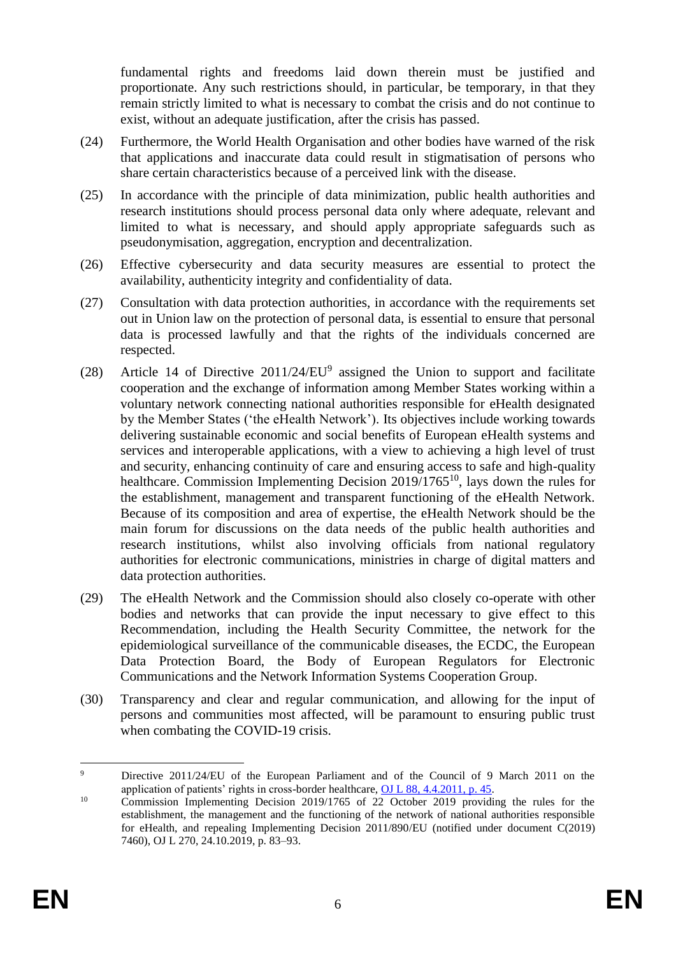fundamental rights and freedoms laid down therein must be justified and proportionate. Any such restrictions should, in particular, be temporary, in that they remain strictly limited to what is necessary to combat the crisis and do not continue to exist, without an adequate justification, after the crisis has passed.

- (24) Furthermore, the World Health Organisation and other bodies have warned of the risk that applications and inaccurate data could result in stigmatisation of persons who share certain characteristics because of a perceived link with the disease.
- (25) In accordance with the principle of data minimization, public health authorities and research institutions should process personal data only where adequate, relevant and limited to what is necessary, and should apply appropriate safeguards such as pseudonymisation, aggregation, encryption and decentralization.
- (26) Effective cybersecurity and data security measures are essential to protect the availability, authenticity integrity and confidentiality of data.
- (27) Consultation with data protection authorities, in accordance with the requirements set out in Union law on the protection of personal data, is essential to ensure that personal data is processed lawfully and that the rights of the individuals concerned are respected.
- (28) Article 14 of Directive  $2011/24/EU<sup>9</sup>$  assigned the Union to support and facilitate cooperation and the exchange of information among Member States working within a voluntary network connecting national authorities responsible for eHealth designated by the Member States ('the eHealth Network'). Its objectives include working towards delivering sustainable economic and social benefits of European eHealth systems and services and interoperable applications, with a view to achieving a high level of trust and security, enhancing continuity of care and ensuring access to safe and high-quality healthcare. Commission Implementing Decision 2019/1765<sup>10</sup>, lays down the rules for the establishment, management and transparent functioning of the eHealth Network. Because of its composition and area of expertise, the eHealth Network should be the main forum for discussions on the data needs of the public health authorities and research institutions, whilst also involving officials from national regulatory authorities for electronic communications, ministries in charge of digital matters and data protection authorities.
- (29) The eHealth Network and the Commission should also closely co-operate with other bodies and networks that can provide the input necessary to give effect to this Recommendation, including the Health Security Committee, the network for the epidemiological surveillance of the communicable diseases, the ECDC, the European Data Protection Board, the Body of European Regulators for Electronic Communications and the Network Information Systems Cooperation Group.
- (30) Transparency and clear and regular communication, and allowing for the input of persons and communities most affected, will be paramount to ensuring public trust when combating the COVID-19 crisis.

1

<sup>9</sup> Directive 2011/24/EU of the European Parliament and of the Council of 9 March 2011 on the application of patients' rights in cross-border healthcare, [OJ L 88, 4.4.2011, p. 45.](https://eur-lex.europa.eu/legal-content/EN/AUTO/?uri=OJ:L:2011:088:TOC)

<sup>&</sup>lt;sup>10</sup> Commission Implementing Decision 2019/1765 of 22 October 2019 providing the rules for the establishment, the management and the functioning of the network of national authorities responsible for eHealth, and repealing Implementing Decision 2011/890/EU (notified under document C(2019) 7460), OJ L 270, 24.10.2019, p. 83–93.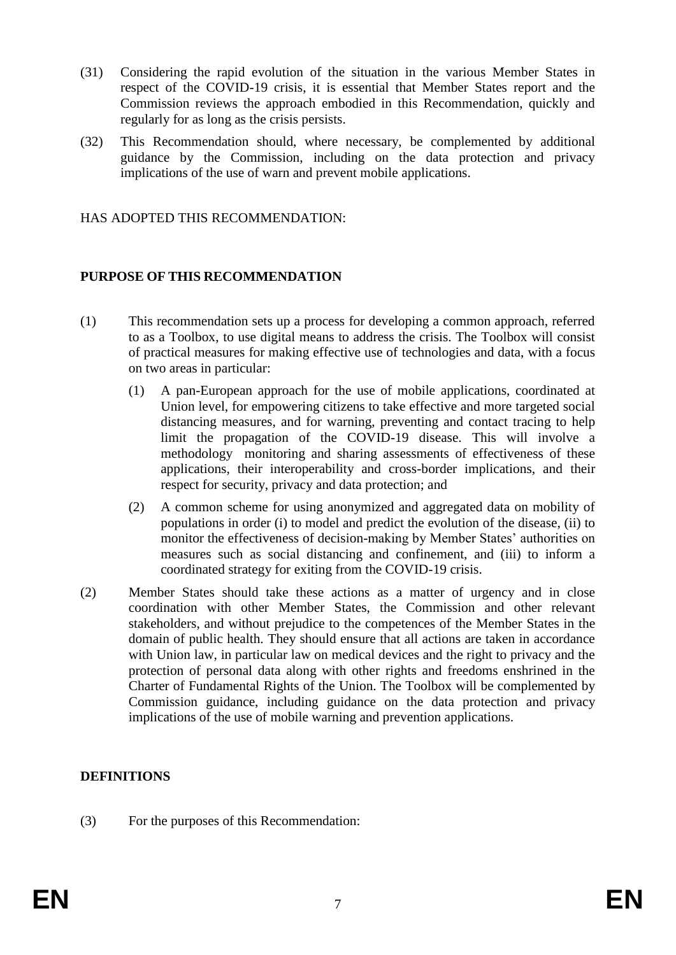- (31) Considering the rapid evolution of the situation in the various Member States in respect of the COVID-19 crisis, it is essential that Member States report and the Commission reviews the approach embodied in this Recommendation, quickly and regularly for as long as the crisis persists.
- (32) This Recommendation should, where necessary, be complemented by additional guidance by the Commission, including on the data protection and privacy implications of the use of warn and prevent mobile applications.

HAS ADOPTED THIS RECOMMENDATION:

#### **PURPOSE OF THIS RECOMMENDATION**

- (1) This recommendation sets up a process for developing a common approach, referred to as a Toolbox, to use digital means to address the crisis. The Toolbox will consist of practical measures for making effective use of technologies and data, with a focus on two areas in particular:
	- (1) A pan-European approach for the use of mobile applications, coordinated at Union level, for empowering citizens to take effective and more targeted social distancing measures, and for warning, preventing and contact tracing to help limit the propagation of the COVID-19 disease. This will involve a methodology monitoring and sharing assessments of effectiveness of these applications, their interoperability and cross-border implications, and their respect for security, privacy and data protection; and
	- (2) A common scheme for using anonymized and aggregated data on mobility of populations in order (i) to model and predict the evolution of the disease, (ii) to monitor the effectiveness of decision-making by Member States' authorities on measures such as social distancing and confinement, and (iii) to inform a coordinated strategy for exiting from the COVID-19 crisis.
- (2) Member States should take these actions as a matter of urgency and in close coordination with other Member States, the Commission and other relevant stakeholders, and without prejudice to the competences of the Member States in the domain of public health. They should ensure that all actions are taken in accordance with Union law, in particular law on medical devices and the right to privacy and the protection of personal data along with other rights and freedoms enshrined in the Charter of Fundamental Rights of the Union. The Toolbox will be complemented by Commission guidance, including guidance on the data protection and privacy implications of the use of mobile warning and prevention applications.

## **DEFINITIONS**

(3) For the purposes of this Recommendation: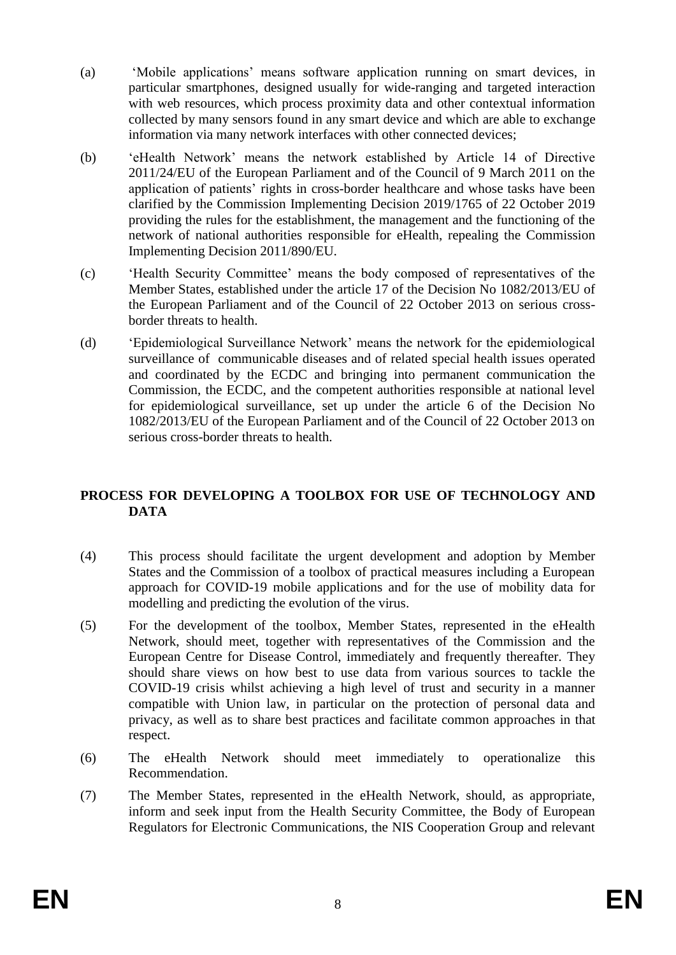- (a) 'Mobile applications' means software application running on smart devices, in particular smartphones, designed usually for wide-ranging and targeted interaction with web resources, which process proximity data and other contextual information collected by many sensors found in any smart device and which are able to exchange information via many network interfaces with other connected devices;
- (b) 'eHealth Network' means the network established by Article 14 of Directive 2011/24/EU of the European Parliament and of the Council of 9 March 2011 on the application of patients' rights in cross-border healthcare and whose tasks have been clarified by the Commission Implementing Decision 2019/1765 of 22 October 2019 providing the rules for the establishment, the management and the functioning of the network of national authorities responsible for eHealth, repealing the Commission Implementing Decision 2011/890/EU.
- (c) 'Health Security Committee' means the body composed of representatives of the Member States, established under the article 17 of the Decision No 1082/2013/EU of the European Parliament and of the Council of 22 October 2013 on serious crossborder threats to health.
- (d) 'Epidemiological Surveillance Network' means the network for the epidemiological surveillance of communicable diseases and of related special health issues operated and coordinated by the ECDC and bringing into permanent communication the Commission, the ECDC, and the competent authorities responsible at national level for epidemiological surveillance, set up under the article 6 of the Decision No 1082/2013/EU of the European Parliament and of the Council of 22 October 2013 on serious cross-border threats to health.

# **PROCESS FOR DEVELOPING A TOOLBOX FOR USE OF TECHNOLOGY AND DATA**

- (4) This process should facilitate the urgent development and adoption by Member States and the Commission of a toolbox of practical measures including a European approach for COVID-19 mobile applications and for the use of mobility data for modelling and predicting the evolution of the virus.
- (5) For the development of the toolbox, Member States, represented in the eHealth Network, should meet, together with representatives of the Commission and the European Centre for Disease Control, immediately and frequently thereafter. They should share views on how best to use data from various sources to tackle the COVID-19 crisis whilst achieving a high level of trust and security in a manner compatible with Union law, in particular on the protection of personal data and privacy, as well as to share best practices and facilitate common approaches in that respect.
- (6) The eHealth Network should meet immediately to operationalize this Recommendation.
- (7) The Member States, represented in the eHealth Network, should, as appropriate, inform and seek input from the Health Security Committee, the Body of European Regulators for Electronic Communications, the NIS Cooperation Group and relevant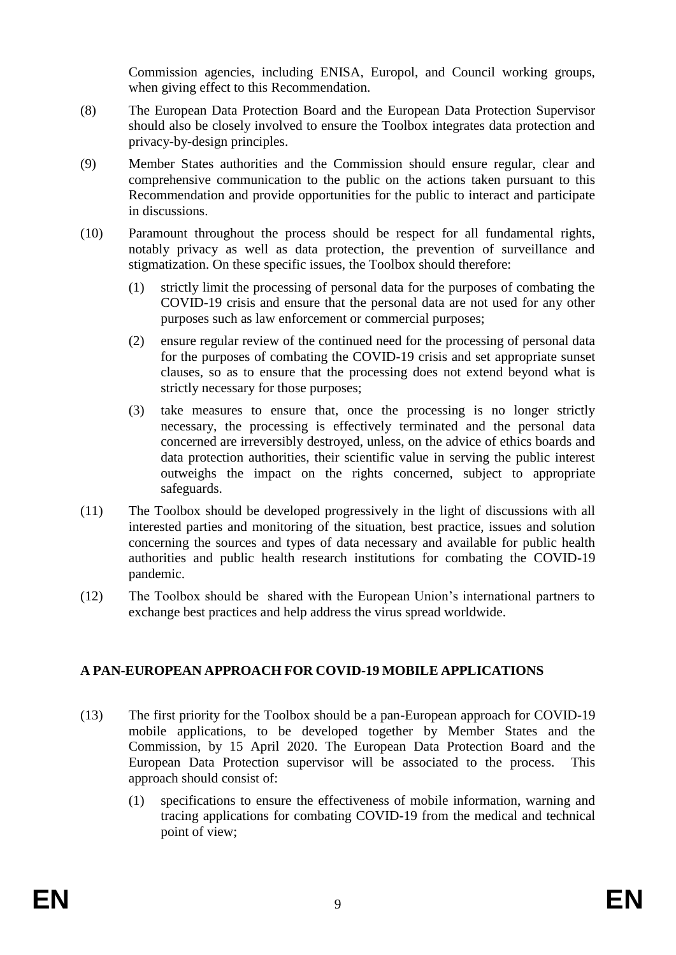Commission agencies, including ENISA, Europol, and Council working groups, when giving effect to this Recommendation.

- (8) The European Data Protection Board and the European Data Protection Supervisor should also be closely involved to ensure the Toolbox integrates data protection and privacy-by-design principles.
- (9) Member States authorities and the Commission should ensure regular, clear and comprehensive communication to the public on the actions taken pursuant to this Recommendation and provide opportunities for the public to interact and participate in discussions.
- (10) Paramount throughout the process should be respect for all fundamental rights, notably privacy as well as data protection, the prevention of surveillance and stigmatization. On these specific issues, the Toolbox should therefore:
	- (1) strictly limit the processing of personal data for the purposes of combating the COVID-19 crisis and ensure that the personal data are not used for any other purposes such as law enforcement or commercial purposes;
	- (2) ensure regular review of the continued need for the processing of personal data for the purposes of combating the COVID-19 crisis and set appropriate sunset clauses, so as to ensure that the processing does not extend beyond what is strictly necessary for those purposes;
	- (3) take measures to ensure that, once the processing is no longer strictly necessary, the processing is effectively terminated and the personal data concerned are irreversibly destroyed, unless, on the advice of ethics boards and data protection authorities, their scientific value in serving the public interest outweighs the impact on the rights concerned, subject to appropriate safeguards.
- (11) The Toolbox should be developed progressively in the light of discussions with all interested parties and monitoring of the situation, best practice, issues and solution concerning the sources and types of data necessary and available for public health authorities and public health research institutions for combating the COVID-19 pandemic.
- (12) The Toolbox should be shared with the European Union's international partners to exchange best practices and help address the virus spread worldwide.

## **A PAN-EUROPEAN APPROACH FOR COVID-19 MOBILE APPLICATIONS**

- (13) The first priority for the Toolbox should be a pan-European approach for COVID-19 mobile applications, to be developed together by Member States and the Commission, by 15 April 2020. The European Data Protection Board and the European Data Protection supervisor will be associated to the process. This approach should consist of:
	- (1) specifications to ensure the effectiveness of mobile information, warning and tracing applications for combating COVID-19 from the medical and technical point of view;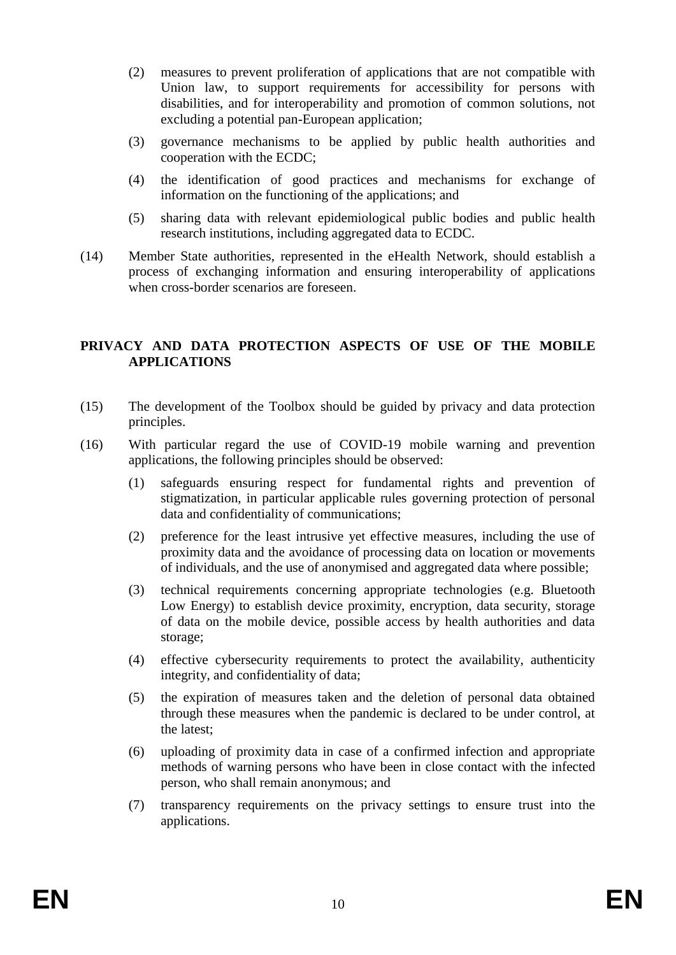- (2) measures to prevent proliferation of applications that are not compatible with Union law, to support requirements for accessibility for persons with disabilities, and for interoperability and promotion of common solutions, not excluding a potential pan-European application;
- (3) governance mechanisms to be applied by public health authorities and cooperation with the ECDC;
- (4) the identification of good practices and mechanisms for exchange of information on the functioning of the applications; and
- (5) sharing data with relevant epidemiological public bodies and public health research institutions, including aggregated data to ECDC.
- (14) Member State authorities, represented in the eHealth Network, should establish a process of exchanging information and ensuring interoperability of applications when cross-border scenarios are foreseen.

#### **PRIVACY AND DATA PROTECTION ASPECTS OF USE OF THE MOBILE APPLICATIONS**

- (15) The development of the Toolbox should be guided by privacy and data protection principles.
- (16) With particular regard the use of COVID-19 mobile warning and prevention applications, the following principles should be observed:
	- (1) safeguards ensuring respect for fundamental rights and prevention of stigmatization, in particular applicable rules governing protection of personal data and confidentiality of communications;
	- (2) preference for the least intrusive yet effective measures, including the use of proximity data and the avoidance of processing data on location or movements of individuals, and the use of anonymised and aggregated data where possible;
	- (3) technical requirements concerning appropriate technologies (e.g. Bluetooth Low Energy) to establish device proximity, encryption, data security, storage of data on the mobile device, possible access by health authorities and data storage;
	- (4) effective cybersecurity requirements to protect the availability, authenticity integrity, and confidentiality of data;
	- (5) the expiration of measures taken and the deletion of personal data obtained through these measures when the pandemic is declared to be under control, at the latest;
	- (6) uploading of proximity data in case of a confirmed infection and appropriate methods of warning persons who have been in close contact with the infected person, who shall remain anonymous; and
	- (7) transparency requirements on the privacy settings to ensure trust into the applications.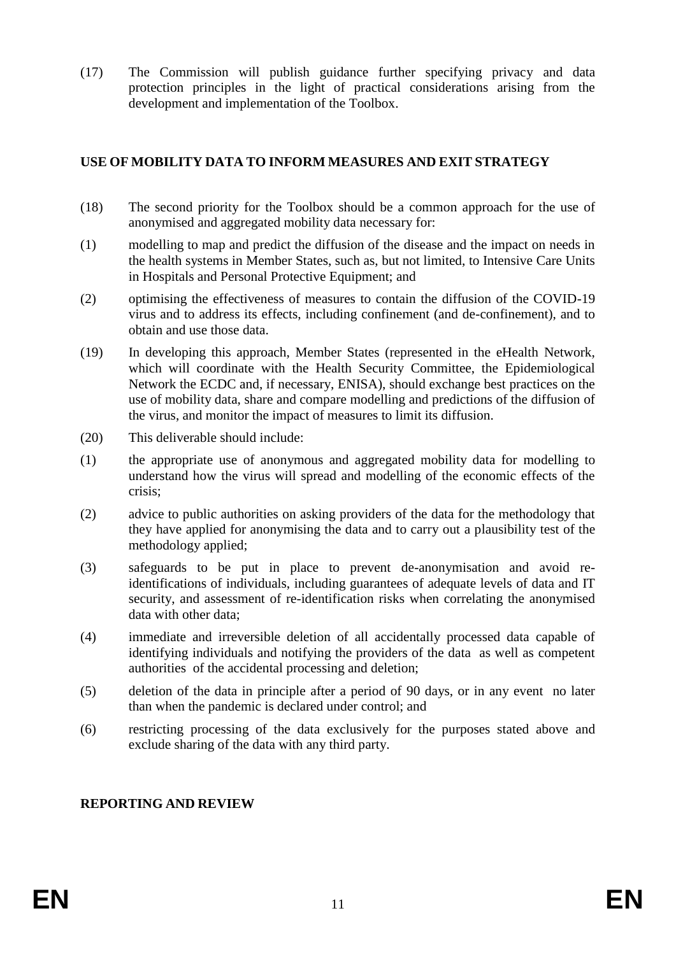(17) The Commission will publish guidance further specifying privacy and data protection principles in the light of practical considerations arising from the development and implementation of the Toolbox.

## **USE OF MOBILITY DATA TO INFORM MEASURES AND EXIT STRATEGY**

- (18) The second priority for the Toolbox should be a common approach for the use of anonymised and aggregated mobility data necessary for:
- (1) modelling to map and predict the diffusion of the disease and the impact on needs in the health systems in Member States, such as, but not limited, to Intensive Care Units in Hospitals and Personal Protective Equipment; and
- (2) optimising the effectiveness of measures to contain the diffusion of the COVID-19 virus and to address its effects, including confinement (and de-confinement), and to obtain and use those data.
- (19) In developing this approach, Member States (represented in the eHealth Network, which will coordinate with the Health Security Committee, the Epidemiological Network the ECDC and, if necessary, ENISA), should exchange best practices on the use of mobility data, share and compare modelling and predictions of the diffusion of the virus, and monitor the impact of measures to limit its diffusion.
- (20) This deliverable should include:
- (1) the appropriate use of anonymous and aggregated mobility data for modelling to understand how the virus will spread and modelling of the economic effects of the crisis;
- (2) advice to public authorities on asking providers of the data for the methodology that they have applied for anonymising the data and to carry out a plausibility test of the methodology applied;
- (3) safeguards to be put in place to prevent de-anonymisation and avoid reidentifications of individuals, including guarantees of adequate levels of data and IT security, and assessment of re-identification risks when correlating the anonymised data with other data;
- (4) immediate and irreversible deletion of all accidentally processed data capable of identifying individuals and notifying the providers of the data as well as competent authorities of the accidental processing and deletion;
- (5) deletion of the data in principle after a period of 90 days, or in any event no later than when the pandemic is declared under control; and
- (6) restricting processing of the data exclusively for the purposes stated above and exclude sharing of the data with any third party.

## **REPORTING AND REVIEW**